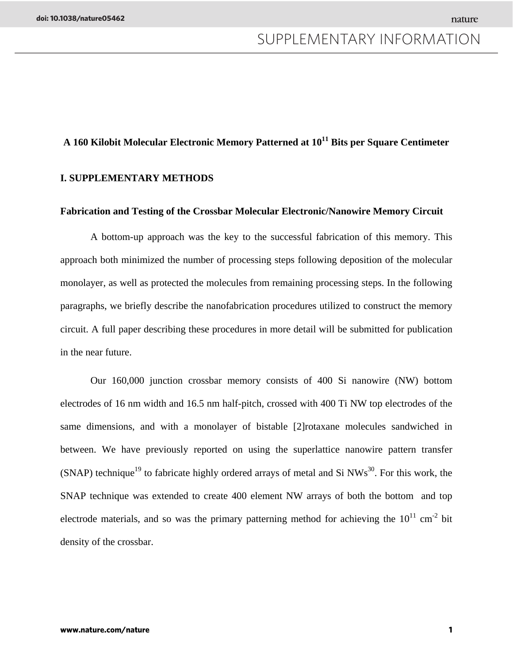# **A 160 Kilobit Molecular Electronic Memory Patterned at 1011 Bits per Square Centimeter**

#### **I. SUPPLEMENTARY METHODS**

#### **Fabrication and Testing of the Crossbar Molecular Electronic/Nanowire Memory Circuit**

A bottom-up approach was the key to the successful fabrication of this memory. This approach both minimized the number of processing steps following deposition of the molecular monolayer, as well as protected the molecules from remaining processing steps. In the following paragraphs, we briefly describe the nanofabrication procedures utilized to construct the memory circuit. A full paper describing these procedures in more detail will be submitted for publication in the near future.

Our 160,000 junction crossbar memory consists of 400 Si nanowire (NW) bottom electrodes of 16 nm width and 16.5 nm half-pitch, crossed with 400 Ti NW top electrodes of the same dimensions, and with a monolayer of bistable [2]rotaxane molecules sandwiched in between. We have previously reported on using the superlattice nanowire pattern transfer (SNAP) technique<sup>19</sup> to fabricate highly ordered arrays of metal and Si NWs<sup>30</sup>. For this work, the SNAP technique was extended to create 400 element NW arrays of both the bottom and top electrode materials, and so was the primary patterning method for achieving the  $10^{11}$  cm<sup>-2</sup> bit density of the crossbar.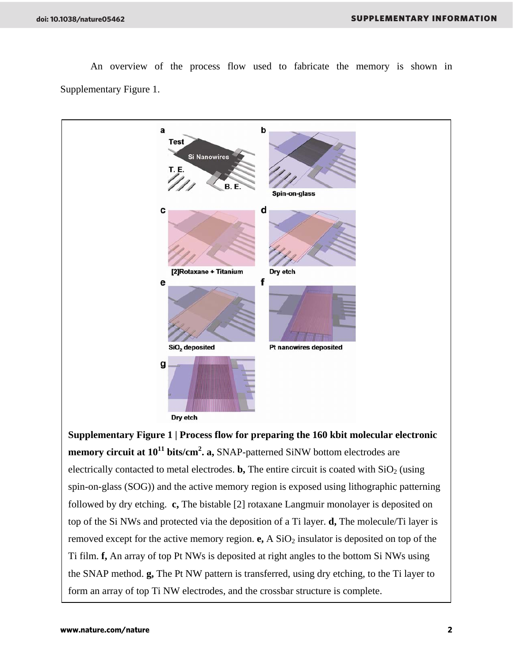

An overview of the process flow used to fabricate the memory is shown in Supplementary Figure 1.

**Supplementary Figure 1 | Process flow for preparing the 160 kbit molecular electronic**  memory circuit at  $10^{11}$  bits/cm<sup>2</sup>. a, SNAP-patterned SiNW bottom electrodes are electrically contacted to metal electrodes. **b**, The entire circuit is coated with  $SiO<sub>2</sub>$  (using spin-on-glass (SOG)) and the active memory region is exposed using lithographic patterning followed by dry etching. **c,** The bistable [2] rotaxane Langmuir monolayer is deposited on top of the Si NWs and protected via the deposition of a Ti layer. **d,** The molecule/Ti layer is removed except for the active memory region.  $e$ , A  $SiO<sub>2</sub>$  insulator is deposited on top of the Ti film. **f,** An array of top Pt NWs is deposited at right angles to the bottom Si NWs using the SNAP method. **g,** The Pt NW pattern is transferred, using dry etching, to the Ti layer to form an array of top Ti NW electrodes, and the crossbar structure is complete.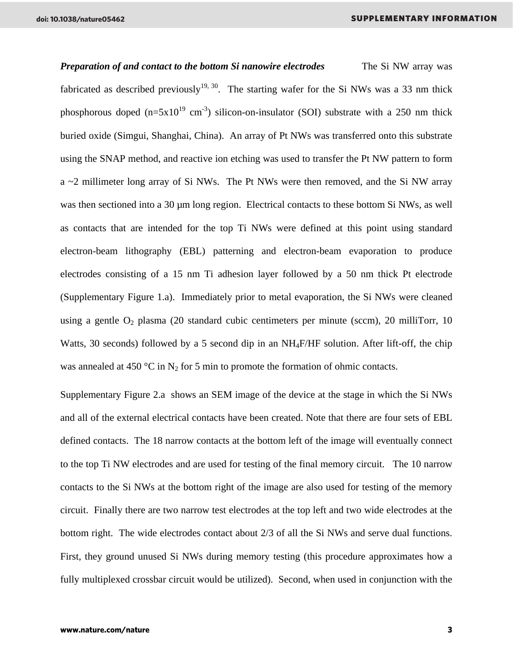*Preparation of and contact to the bottom Si nanowire electrodes* The Si NW array was fabricated as described previously<sup>19, 30</sup>. The starting wafer for the Si NWs was a 33 nm thick phosphorous doped  $(n=5x10^{19} \text{ cm}^{-3})$  silicon-on-insulator (SOI) substrate with a 250 nm thick buried oxide (Simgui, Shanghai, China). An array of Pt NWs was transferred onto this substrate using the SNAP method, and reactive ion etching was used to transfer the Pt NW pattern to form a ~2 millimeter long array of Si NWs. The Pt NWs were then removed, and the Si NW array was then sectioned into a 30 µm long region. Electrical contacts to these bottom Si NWs, as well as contacts that are intended for the top Ti NWs were defined at this point using standard electron-beam lithography (EBL) patterning and electron-beam evaporation to produce electrodes consisting of a 15 nm Ti adhesion layer followed by a 50 nm thick Pt electrode (Supplementary Figure 1.a). Immediately prior to metal evaporation, the Si NWs were cleaned using a gentle  $O_2$  plasma (20 standard cubic centimeters per minute (sccm), 20 milliTorr, 10 Watts, 30 seconds) followed by a 5 second dip in an NH<sub>4</sub>F/HF solution. After lift-off, the chip was annealed at 450 °C in N<sub>2</sub> for 5 min to promote the formation of ohmic contacts.

Supplementary Figure 2.a shows an SEM image of the device at the stage in which the Si NWs and all of the external electrical contacts have been created. Note that there are four sets of EBL defined contacts. The 18 narrow contacts at the bottom left of the image will eventually connect to the top Ti NW electrodes and are used for testing of the final memory circuit. The 10 narrow contacts to the Si NWs at the bottom right of the image are also used for testing of the memory circuit. Finally there are two narrow test electrodes at the top left and two wide electrodes at the bottom right. The wide electrodes contact about 2/3 of all the Si NWs and serve dual functions. First, they ground unused Si NWs during memory testing (this procedure approximates how a fully multiplexed crossbar circuit would be utilized). Second, when used in conjunction with the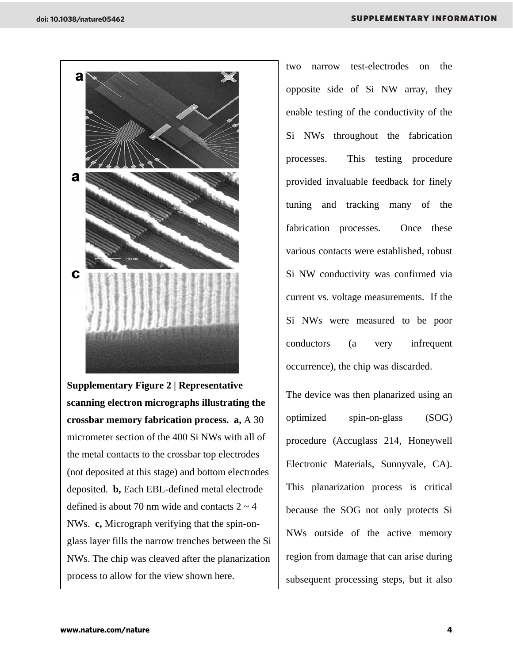

**Supplementary Figure 2 | Representative scanning electron micrographs illustrating the crossbar memory fabrication process. a,** A 30 micrometer section of the 400 Si NWs with all of the metal contacts to the crossbar top electrodes (not deposited at this stage) and bottom electrodes deposited. **b,** Each EBL-defined metal electrode defined is about 70 nm wide and contacts  $2 \sim 4$ NWs. **c,** Micrograph verifying that the spin-onglass layer fills the narrow trenches between the Si NWs. The chip was cleaved after the planarization process to allow for the view shown here.

two narrow test-electrodes on the opposite side of Si NW array, they enable testing of the conductivity of the Si NWs throughout the fabrication processes. This testing procedure provided invaluable feedback for finely tuning and tracking many of the fabrication processes. Once these various contacts were established, robust Si NW conductivity was confirmed via current vs. voltage measurements. If the Si NWs were measured to be poor conductors (a very infrequent occurrence), the chip was discarded.

The device was then planarized using an optimized spin-on-glass (SOG) procedure (Accuglass 214, Honeywell Electronic Materials, Sunnyvale, CA). This planarization process is critical because the SOG not only protects Si NWs outside of the active memory region from damage that can arise during subsequent processing steps, but it also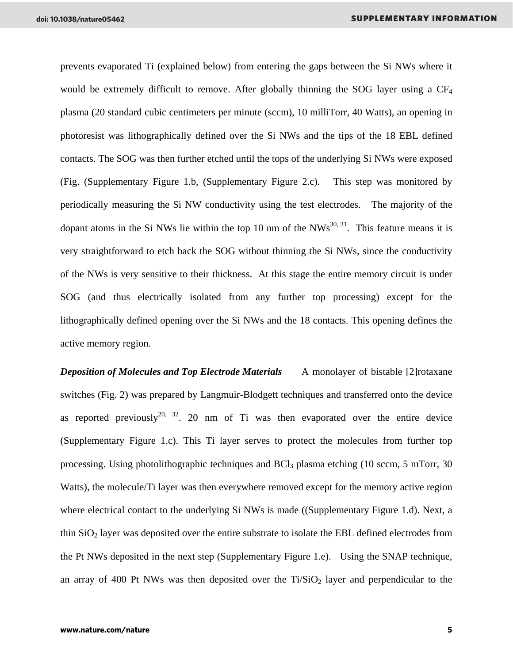prevents evaporated Ti (explained below) from entering the gaps between the Si NWs where it would be extremely difficult to remove. After globally thinning the SOG layer using a  $CF_4$ plasma (20 standard cubic centimeters per minute (sccm), 10 milliTorr, 40 Watts), an opening in photoresist was lithographically defined over the Si NWs and the tips of the 18 EBL defined contacts. The SOG was then further etched until the tops of the underlying Si NWs were exposed (Fig. (Supplementary Figure 1.b, (Supplementary Figure 2.c). This step was monitored by periodically measuring the Si NW conductivity using the test electrodes. The majority of the dopant atoms in the Si NWs lie within the top 10 nm of the  $NWs^{30, 31}$ . This feature means it is very straightforward to etch back the SOG without thinning the Si NWs, since the conductivity of the NWs is very sensitive to their thickness. At this stage the entire memory circuit is under SOG (and thus electrically isolated from any further top processing) except for the lithographically defined opening over the Si NWs and the 18 contacts. This opening defines the active memory region.

*Deposition of Molecules and Top Electrode Materials* A monolayer of bistable [2] rotaxane switches (Fig. 2) was prepared by Langmuir-Blodgett techniques and transferred onto the device as reported previously<sup>20, 32</sup>. 20 nm of Ti was then evaporated over the entire device (Supplementary Figure 1.c). This Ti layer serves to protect the molecules from further top processing. Using photolithographic techniques and  $BCl<sub>3</sub>$  plasma etching (10 sccm, 5 mTorr, 30) Watts), the molecule/Ti layer was then everywhere removed except for the memory active region where electrical contact to the underlying Si NWs is made ((Supplementary Figure 1.d). Next, a thin SiO2 layer was deposited over the entire substrate to isolate the EBL defined electrodes from the Pt NWs deposited in the next step (Supplementary Figure 1.e). Using the SNAP technique, an array of 400 Pt NWs was then deposited over the  $Ti/SiO<sub>2</sub>$  layer and perpendicular to the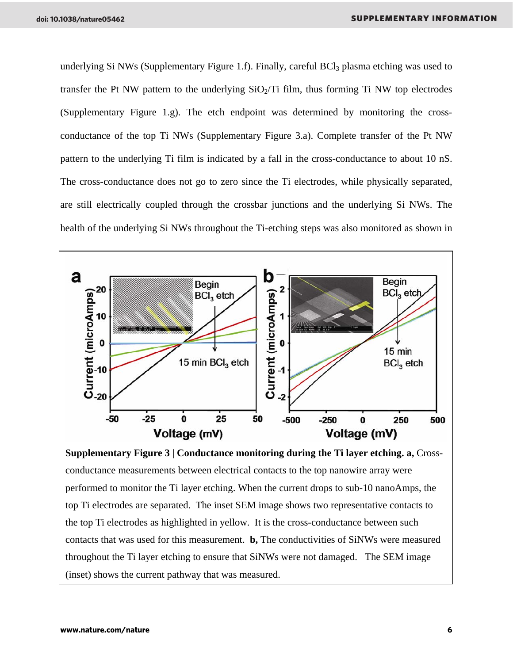underlying Si NWs (Supplementary Figure 1.f). Finally, careful  $BCI<sub>3</sub>$  plasma etching was used to transfer the Pt NW pattern to the underlying  $SiO<sub>2</sub>/Ti$  film, thus forming Ti NW top electrodes (Supplementary Figure 1.g). The etch endpoint was determined by monitoring the crossconductance of the top Ti NWs (Supplementary Figure 3.a). Complete transfer of the Pt NW pattern to the underlying Ti film is indicated by a fall in the cross-conductance to about 10 nS. The cross-conductance does not go to zero since the Ti electrodes, while physically separated, are still electrically coupled through the crossbar junctions and the underlying Si NWs. The health of the underlying Si NWs throughout the Ti-etching steps was also monitored as shown in



**Supplementary Figure 3 | Conductance monitoring during the Ti layer etching. a,** Crossconductance measurements between electrical contacts to the top nanowire array were performed to monitor the Ti layer etching. When the current drops to sub-10 nanoAmps, the top Ti electrodes are separated. The inset SEM image shows two representative contacts to the top Ti electrodes as highlighted in yellow. It is the cross-conductance between such contacts that was used for this measurement. **b,** The conductivities of SiNWs were measured throughout the Ti layer etching to ensure that SiNWs were not damaged. The SEM image (inset) shows the current pathway that was measured.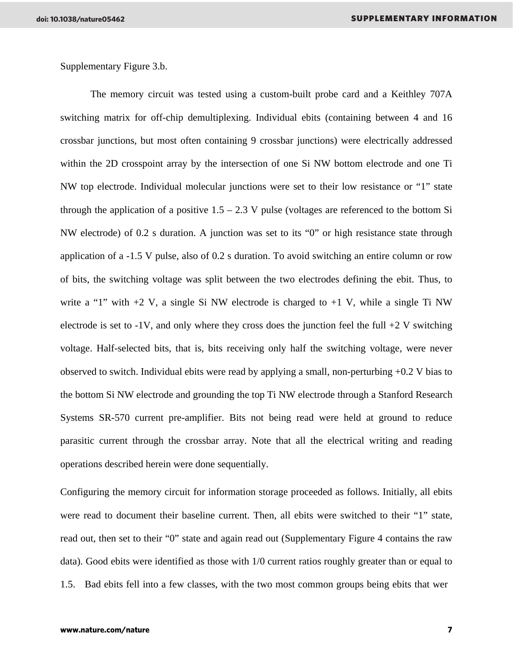Supplementary Figure 3.b.

The memory circuit was tested using a custom-built probe card and a Keithley 707A switching matrix for off-chip demultiplexing. Individual ebits (containing between 4 and 16 crossbar junctions, but most often containing 9 crossbar junctions) were electrically addressed within the 2D crosspoint array by the intersection of one Si NW bottom electrode and one Ti NW top electrode. Individual molecular junctions were set to their low resistance or "1" state through the application of a positive  $1.5 - 2.3$  V pulse (voltages are referenced to the bottom Si NW electrode) of 0.2 s duration. A junction was set to its "0" or high resistance state through application of a -1.5 V pulse, also of 0.2 s duration. To avoid switching an entire column or row of bits, the switching voltage was split between the two electrodes defining the ebit. Thus, to write a "1" with  $+2$  V, a single Si NW electrode is charged to  $+1$  V, while a single Ti NW electrode is set to  $-1V$ , and only where they cross does the junction feel the full  $+2V$  switching voltage. Half-selected bits, that is, bits receiving only half the switching voltage, were never observed to switch. Individual ebits were read by applying a small, non-perturbing +0.2 V bias to the bottom Si NW electrode and grounding the top Ti NW electrode through a Stanford Research Systems SR-570 current pre-amplifier. Bits not being read were held at ground to reduce parasitic current through the crossbar array. Note that all the electrical writing and reading operations described herein were done sequentially.

Configuring the memory circuit for information storage proceeded as follows. Initially, all ebits were read to document their baseline current. Then, all ebits were switched to their "1" state, read out, then set to their "0" state and again read out (Supplementary Figure 4 contains the raw data). Good ebits were identified as those with 1/0 current ratios roughly greater than or equal to 1.5. Bad ebits fell into a few classes, with the two most common groups being ebits that wer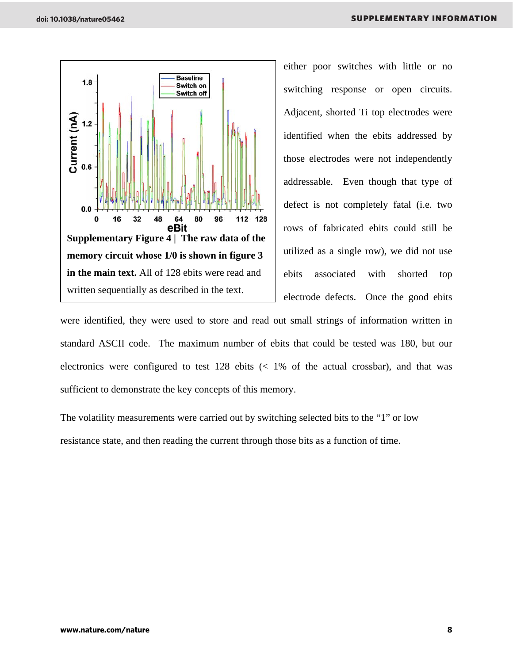

either poor switches with little or no switching response or open circuits. Adjacent, shorted Ti top electrodes were identified when the ebits addressed by those electrodes were not independently addressable. Even though that type of defect is not completely fatal (i.e. two rows of fabricated ebits could still be utilized as a single row), we did not use ebits associated with shorted top electrode defects. Once the good ebits

were identified, they were used to store and read out small strings of information written in standard ASCII code. The maximum number of ebits that could be tested was 180, but our electronics were configured to test  $128$  ebits (<  $1\%$  of the actual crossbar), and that was sufficient to demonstrate the key concepts of this memory.

The volatility measurements were carried out by switching selected bits to the "1" or low resistance state, and then reading the current through those bits as a function of time.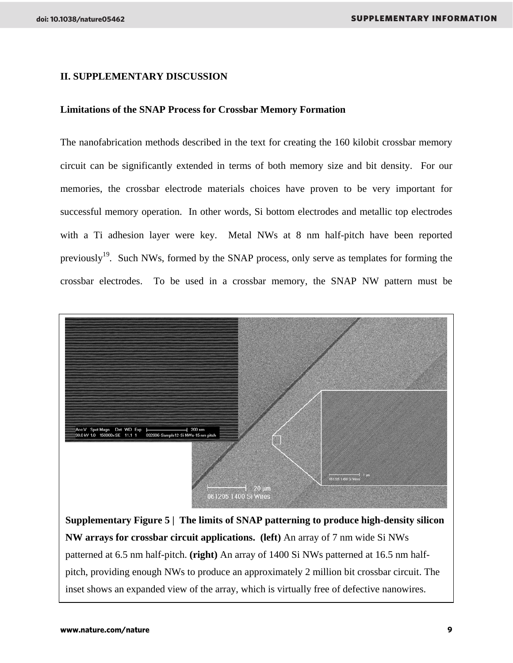### **II. SUPPLEMENTARY DISCUSSION**

#### **Limitations of the SNAP Process for Crossbar Memory Formation**

The nanofabrication methods described in the text for creating the 160 kilobit crossbar memory circuit can be significantly extended in terms of both memory size and bit density. For our memories, the crossbar electrode materials choices have proven to be very important for successful memory operation. In other words, Si bottom electrodes and metallic top electrodes with a Ti adhesion layer were key. Metal NWs at 8 nm half-pitch have been reported previously<sup>19</sup>. Such NWs, formed by the SNAP process, only serve as templates for forming the crossbar electrodes. To be used in a crossbar memory, the SNAP NW pattern must be



**Supplementary Figure 5 | The limits of SNAP patterning to produce high-density silicon NW arrays for crossbar circuit applications. (left)** An array of 7 nm wide Si NWs patterned at 6.5 nm half-pitch. **(right)** An array of 1400 Si NWs patterned at 16.5 nm halfpitch, providing enough NWs to produce an approximately 2 million bit crossbar circuit. The inset shows an expanded view of the array, which is virtually free of defective nanowires.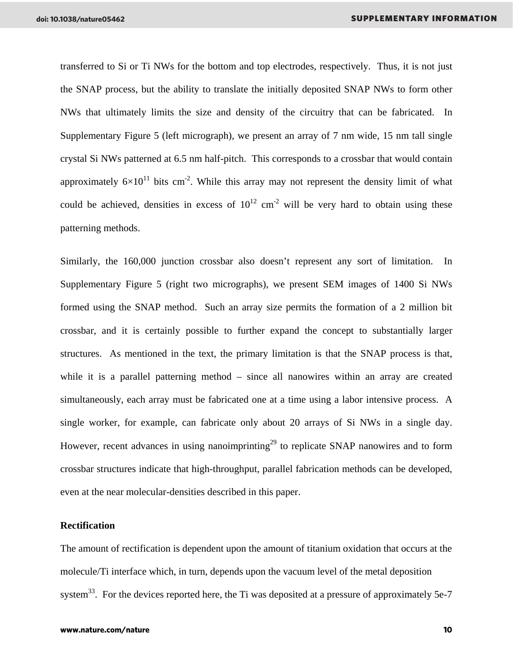transferred to Si or Ti NWs for the bottom and top electrodes, respectively. Thus, it is not just the SNAP process, but the ability to translate the initially deposited SNAP NWs to form other NWs that ultimately limits the size and density of the circuitry that can be fabricated. In Supplementary Figure 5 (left micrograph), we present an array of 7 nm wide, 15 nm tall single crystal Si NWs patterned at 6.5 nm half-pitch. This corresponds to a crossbar that would contain approximately  $6\times10^{11}$  bits cm<sup>-2</sup>. While this array may not represent the density limit of what could be achieved, densities in excess of  $10^{12}$  cm<sup>-2</sup> will be very hard to obtain using these patterning methods.

Similarly, the 160,000 junction crossbar also doesn't represent any sort of limitation. In Supplementary Figure 5 (right two micrographs), we present SEM images of 1400 Si NWs formed using the SNAP method. Such an array size permits the formation of a 2 million bit crossbar, and it is certainly possible to further expand the concept to substantially larger structures. As mentioned in the text, the primary limitation is that the SNAP process is that, while it is a parallel patterning method – since all nanowires within an array are created simultaneously, each array must be fabricated one at a time using a labor intensive process. A single worker, for example, can fabricate only about 20 arrays of Si NWs in a single day. However, recent advances in using nanoimprinting<sup>29</sup> to replicate SNAP nanowires and to form crossbar structures indicate that high-throughput, parallel fabrication methods can be developed, even at the near molecular-densities described in this paper.

#### **Rectification**

The amount of rectification is dependent upon the amount of titanium oxidation that occurs at the molecule/Ti interface which, in turn, depends upon the vacuum level of the metal deposition system<sup>33</sup>. For the devices reported here, the Ti was deposited at a pressure of approximately 5e-7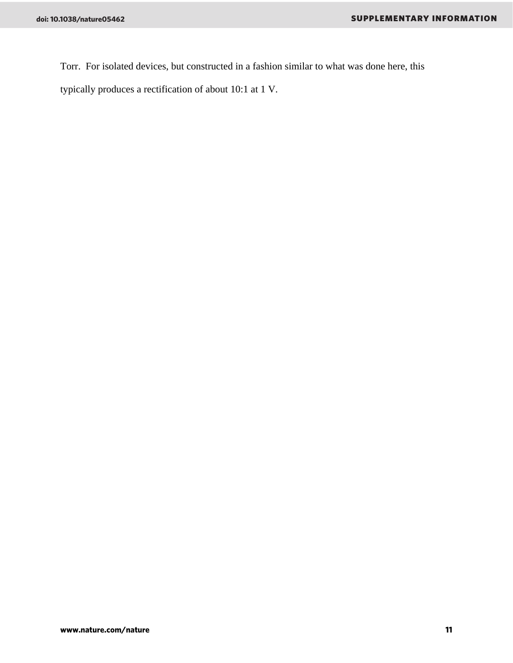Torr. For isolated devices, but constructed in a fashion similar to what was done here, this

typically produces a rectification of about 10:1 at 1 V.